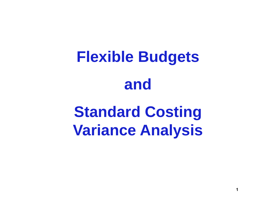# **Flexible Budgets and**

# **Standard Costing Variance Analysis**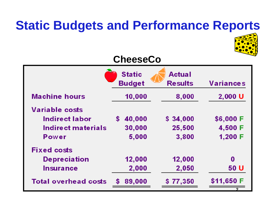## **Static Budgets and Performance Reports**



#### **CheeseCo**

|                             | <b>Static</b><br><b>Budget</b> | <b>Actual</b><br><b>Results</b> | <b>Variances</b> |
|-----------------------------|--------------------------------|---------------------------------|------------------|
| <b>Machine hours</b>        | 10,000                         | 8,000                           | 2,000 U          |
| <b>Variable costs</b>       |                                |                                 |                  |
| Indirect labor              | 40,000<br>\$                   | \$34,000                        | \$6,000 F        |
| Indirect materials          | 30,000                         | 25,500                          | 4,500 F          |
| Power                       | 5,000                          | 3,800                           | 1,200 F          |
| <b>Fixed costs</b>          |                                |                                 |                  |
| <b>Depreciation</b>         | 12,000                         | 12,000                          | $\bf{0}$         |
| <b>Insurance</b>            | 2,000                          | 2,050                           | 50 U             |
| <b>Total overhead costs</b> | 89,000<br>\$                   | \$77,350                        | \$11,650 F       |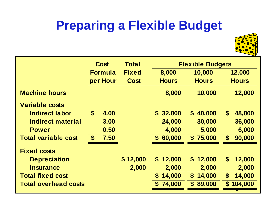# **Preparing a Flexible Budget**



|                             | Cost                      | <b>Total</b> | <b>Flexible Budgets</b> |                        |                                     |  |  |
|-----------------------------|---------------------------|--------------|-------------------------|------------------------|-------------------------------------|--|--|
|                             | <b>Formula</b>            | <b>Fixed</b> | 8,000                   | 10,000                 | 12,000                              |  |  |
|                             | per Hour                  | Cost         | <b>Hours</b>            | <b>Hours</b>           | <b>Hours</b>                        |  |  |
| <b>Machine hours</b>        |                           |              | 8,000                   | 10,000                 | 12,000                              |  |  |
| <b>Variable costs</b>       |                           |              |                         |                        |                                     |  |  |
| <b>Indirect labor</b>       | $\boldsymbol{\$}$<br>4.00 |              | \$32,000                | 40,000<br>$\mathbf S$  | $\boldsymbol{\$}$<br>48,000         |  |  |
| <b>Indirect material</b>    | 3.00                      |              | 24,000                  | 30,000                 | 36,000                              |  |  |
| <b>Power</b>                | 0.50                      |              | 4,000                   | 5,000                  | 6,000                               |  |  |
| <b>Total variable cost</b>  | 7.50<br>$\mathbf{s}$      |              | \$60,000                | \$75,000               | $\mathbf{s}$<br>90,000              |  |  |
| <b>Fixed costs</b>          |                           |              |                         |                        |                                     |  |  |
| <b>Depreciation</b>         |                           | \$12,000     | $\mathbf S$<br>12,000   | 12,000<br>\$           | $\boldsymbol{\mathsf{s}}$<br>12,000 |  |  |
| <b>Insurance</b>            |                           | 2,000        | 2,000                   | 2,000                  | 2,000                               |  |  |
| <b>Total fixed cost</b>     |                           |              | 14,000<br>S             | 14,000<br>\$           | 14,000<br>$\boldsymbol{\$}$         |  |  |
| <b>Total overhead costs</b> |                           |              | 74,000<br>S             | 89,000<br>$\mathbf{s}$ | 104,000<br>$\mathbf{s}$             |  |  |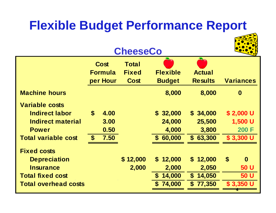## **Flexible Budget Performance Report**

#### **CheeseCo**



|                             |                    | <b>Cost</b><br><b>Formula</b><br>per Hour | <b>Total</b><br><b>Fixed</b><br><b>Cost</b> | <b>Flexible</b><br><b>Budget</b> | <b>Actual</b><br><b>Results</b> | <b>Variances</b>                  |
|-----------------------------|--------------------|-------------------------------------------|---------------------------------------------|----------------------------------|---------------------------------|-----------------------------------|
| <b>Machine hours</b>        |                    |                                           |                                             | 8,000                            | 8,000                           | $\boldsymbol{0}$                  |
| <b>Variable costs</b>       |                    |                                           |                                             |                                  |                                 |                                   |
| <b>Indirect labor</b>       | $\mathbf{s}$       | 4.00                                      |                                             | \$32,000                         | \$34,000                        | $$2,000$ U                        |
| Indirect material           |                    | 3.00                                      |                                             | 24,000                           | 25,500                          | 1,500 U                           |
| <b>Power</b>                |                    | 0.50                                      |                                             | 4,000                            | 3,800                           | 200 F                             |
| <b>Total variable cost</b>  | $\mathbf{\hat{f}}$ | 7.50                                      |                                             | \$60,000                         | \$63,300                        | \$3,300 U                         |
| <b>Fixed costs</b>          |                    |                                           |                                             |                                  |                                 |                                   |
| <b>Depreciation</b>         |                    |                                           | \$12,000                                    | 12,000<br>$\mathbb{S}^-$         | \$12,000                        | $\boldsymbol{\$}$<br>$\mathbf{0}$ |
| <b>Insurance</b>            |                    |                                           | 2,000                                       | 2,000                            | 2,050                           | 50 U                              |
| <b>Total fixed cost</b>     |                    |                                           |                                             | 14,000<br>S.                     | \$14,050                        | 50 U                              |
| <b>Total overhead costs</b> |                    |                                           |                                             | 74,000                           | \$77,350                        | $$3,350$ U                        |
|                             |                    |                                           |                                             |                                  |                                 |                                   |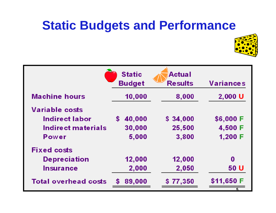#### **Static Budgets and Performance**



|                             | <b>Static</b><br><b>Budget</b> | <b>Actual</b><br><b>Results</b> | <b>Variances</b> |  |  |
|-----------------------------|--------------------------------|---------------------------------|------------------|--|--|
| <b>Machine hours</b>        | 10,000                         | 8,000                           | 2,000 U          |  |  |
| <b>Variable costs</b>       |                                |                                 |                  |  |  |
| Indirect labor              | 40,000<br>\$.                  | \$34,000                        | \$6,000 F        |  |  |
| Indirect materials          | 30,000                         | 25,500                          | 4,500 F          |  |  |
| Power                       | 5,000                          | 3,800                           | 1,200 F          |  |  |
| <b>Fixed costs</b>          |                                |                                 |                  |  |  |
| <b>Depreciation</b>         | 12,000                         | 12,000                          | 0                |  |  |
| <b>Insurance</b>            | 2,000                          | 2,050                           | 50 U             |  |  |
| <b>Total overhead costs</b> | 89,000<br>\$                   | \$77,350                        | \$11,650 F       |  |  |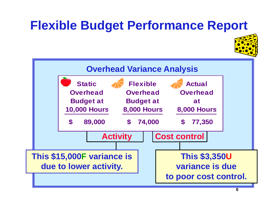## **Flexible Budget Performance Report**



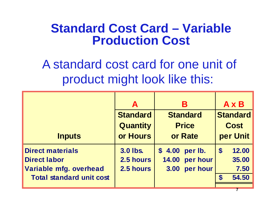#### **Standard Cost Card – Variable Production Cost**

A standard cost card for one unit of product might look like this:

|                                 | A               | В                 | A x B                              |  |
|---------------------------------|-----------------|-------------------|------------------------------------|--|
|                                 | <b>Standard</b> | <b>Standard</b>   | <b>Standard</b>                    |  |
|                                 | <b>Quantity</b> | <b>Price</b>      | <b>Cost</b>                        |  |
| <b>Inputs</b>                   | or Hours        | or Rate           | per Unit                           |  |
| <b>Direct materials</b>         | <b>3.0 lbs.</b> | \$4.00<br>per lb. | 12.00<br>$\boldsymbol{\mathsf{S}}$ |  |
| <b>Direct labor</b>             | 2.5 hours       | 14.00 per hour    | 35.00                              |  |
| Variable mfg. overhead          | 2.5 hours       | per hour<br>3.00  | 7.50                               |  |
| <b>Total standard unit cost</b> |                 |                   | 54.50<br>$\mathbf{s}$              |  |
|                                 |                 |                   |                                    |  |

**7**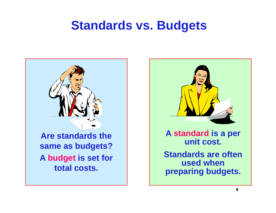#### **Standards vs. Budgets**





**8**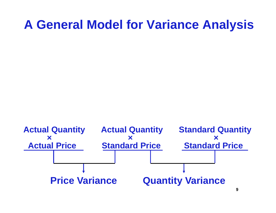#### **A General Model for Variance Analysis**

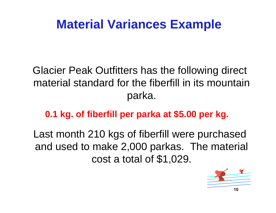#### **Material Variances Example**

Glacier Peak Outfitters has the following direct material standard for the fiberfill in its mountain parka.

**0.1 kg. of fiberfill per parka at \$5.00 per kg.**

Last month 210 kgs of fiberfill were purchased and used to make 2,000 parkas. The material cost a total of \$1,029.

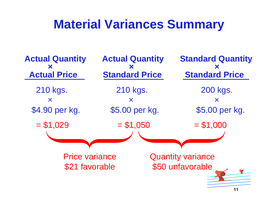#### **Material Variances Summary**

210 kgs. 210 kgs. 200 kgs.  $\times$   $\times$   $\times$   $\times$   $\times$ \$4.90 per kg. \$5.00 per kg. \$5.00 per kg.  $= $1,029$   $= $1,050$   $= $1,000$ Price variance\$21 favorable Quantity variance \$50 unfavorable **Actual Quantity Actual Quantity Standard Quantity ×× ×Actual Price Standard Price Standard Price**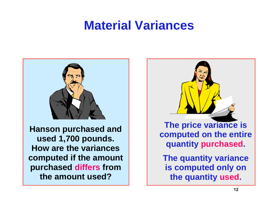#### **Material Variances**



**Hanson purchased and used 1,700 pounds. How are the variances computed if the amount purchased differs from the amount used?** 

**The price variance is computed on the entire quantity purchased.**

**The quantity variance is computed only on the quantity used.**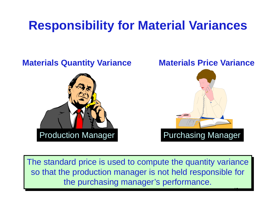## **Responsibility for Material Variances**

# **Materials Quantity Variance Materials Price Variance** Production Manager Purchasing Manager

The standard price is used to compute the quantity variance so that the production manager is not held responsible for the purchasing manager's performance.

**13**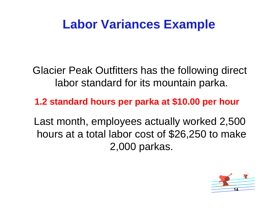#### **Labor Variances Example**

Glacier Peak Outfitters has the following direct labor standard for its mountain parka.

#### **1.2 standard hours per parka at \$10.00 per hour**

Last month, employees actually worked 2,500 hours at a total labor cost of \$26,250 to make 2,000 parkas.

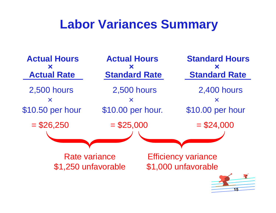#### **Labor Variances Summary**

2,500 hours 2,500 hours 2,400 hours  $\times$   $\times$   $\times$   $\times$   $\times$ \$10.50 per hour \$10.00 per hour. \$10.00 per hour  $= $26,250 = $25,000 = $24,000$ **Actual Hours Actual Hours Standard Hours×× ×Actual Rate Standard Rate Standard Rate** Rate variance\$1,250 unfavorable Efficiency variance \$1,000 unfavorable

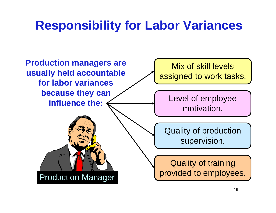## **Responsibility for Labor Variances**

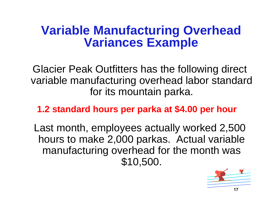#### **Variable Manufacturing Overhead Variances Example**

Glacier Peak Outfitters has the following direct variable manufacturing overhead labor standard for its mountain parka.

**1.2 standard hours per parka at \$4.00 per hour**

Last month, employees actually worked 2,500 hours to make 2,000 parkas. Actual variable manufacturing overhead for the month was \$10,500.

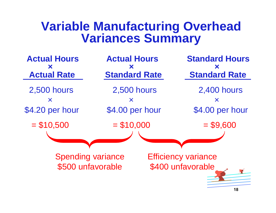#### **Variable Manufacturing Overhead Variances Summary**

**Actual Hours Actual Hours Standard Hours×× ×Actual Rate Standard Rate Standard RateStandard Rate** 2,500 hours 2,500 hours 2,400 hours  $\times$   $\times$   $\times$   $\times$   $\times$ \$4.20 per hour \$4.00 per hour \$4.00 per hour  $= $10,500 = $10,000 = $9,600$ Spending variance \$500 unfavorable Efficiency variance \$400 unfavorable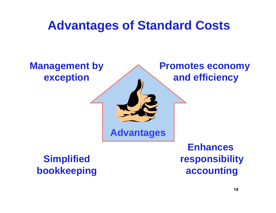#### **Advantages of Standard Costs**

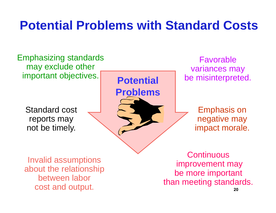#### **Potential Problems with Standard Costs**

Emphasizing standards may exclude other important objectives.

Standard cost reports may not be timely.

**Potential Problems**

Favorablevariances may be misinterpreted.

> Emphasis on negative may impact morale.

Invalid assumptions about the relationship between labor cost and output.

**Continuous** improvement may be more important than meeting standards.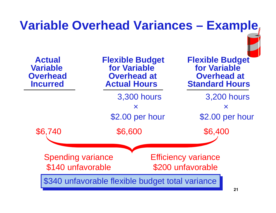#### 3,300 hours 3,200 hours  $\times$   $\times$   $\times$   $\times$ \$2.00 per hour \$2.00 per hour **Variable Overhead Variances – Example** \$6,740 \$6,600 \$6,400 Spending variance \$140 unfavorable Efficiency variance \$200 unfavorable \$340 unfavorable flexible budget total variance **Actual Flexible Budget Flexible Budget Variable for Variable for VariableOverhead Coverhead at Coverhead at Coverhead at Coverhead at Coverhead at Coverhead at Coverhead at Coverhead at Coverhead at Coverhead at Coverhead at Coverhead at Coverhead at Coverhead at Coverhead at Coverhead at Cove Incurred Matual Hours Standard Hours**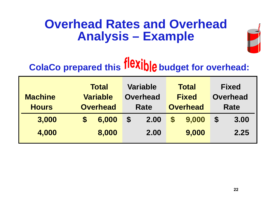#### **Overhead Rates and Overhead Analysis – Example**



# **ColaCo prepared this flexible budget for overhead:**

|                | <b>Total</b> |                 | <b>Variable</b>   |                 | <b>Total</b>      |              | <b>Fixed</b>          |                 |  |
|----------------|--------------|-----------------|-------------------|-----------------|-------------------|--------------|-----------------------|-----------------|--|
| <b>Machine</b> |              | <b>Variable</b> |                   | <b>Overhead</b> |                   | <b>Fixed</b> |                       | <b>Overhead</b> |  |
| <b>Hours</b>   |              | <b>Overhead</b> | Rate              |                 | <b>Overhead</b>   |              | Rate                  |                 |  |
| 3,000          | <b>S</b>     | 6,000           | $\boldsymbol{\$}$ | 2.00            | $\boldsymbol{\$}$ | 9,000        | $\boldsymbol{\theta}$ | 3.00            |  |
| 4,000          |              | 8,000           |                   | 2.00            |                   | 9,000        |                       | 2.25            |  |